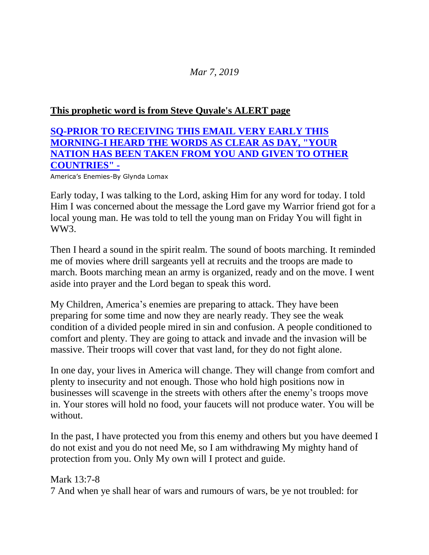## *Mar 7, 2019*

## **This [prophetic](http://www.stevequayle.com/index.php?s=33&d=2250) word is from Steve Quyale's ALERT page**

## **SQ-PRIOR TO [RECEIVING](http://www.stevequayle.com/index.php?s=33&d=2250) THIS EMAIL VERY EARLY THIS [MORNING-I](http://www.stevequayle.com/index.php?s=33&d=2250) HEARD THE WORDS AS CLEAR AS DAY, "YOUR [NATION](http://www.stevequayle.com/index.php?s=33&d=2250) HAS BEEN TAKEN FROM YOU AND GIVEN TO OTHER [COUNTRIES"](http://www.stevequayle.com/index.php?s=33&d=2250) -**

America's Enemies-By Glynda Lomax

Early today, I was talking to the Lord, asking Him for any word for today. I told Him I was concerned about the message the Lord gave my Warrior friend got for a local young man. He was told to tell the young man on Friday You will fight in WW<sub>3</sub>.

Then I heard a sound in the spirit realm. The sound of boots marching. It reminded me of movies where drill sargeants yell at recruits and the troops are made to march. Boots marching mean an army is organized, ready and on the move. I went aside into prayer and the Lord began to speak this word.

My Children, America's enemies are preparing to attack. They have been preparing for some time and now they are nearly ready. They see the weak condition of a divided people mired in sin and confusion. A people conditioned to comfort and plenty. They are going to attack and invade and the invasion will be massive. Their troops will cover that vast land, for they do not fight alone.

In one day, your lives in America will change. They will change from comfort and plenty to insecurity and not enough. Those who hold high positions now in businesses will scavenge in the streets with others after the enemy's troops move in. Your stores will hold no food, your faucets will not produce water. You will be without.

In the past, I have protected you from this enemy and others but you have deemed I do not exist and you do not need Me, so I am withdrawing My mighty hand of protection from you. Only My own will I protect and guide.

Mark 13:7-8 7 And when ye shall hear of wars and rumours of wars, be ye not troubled: for